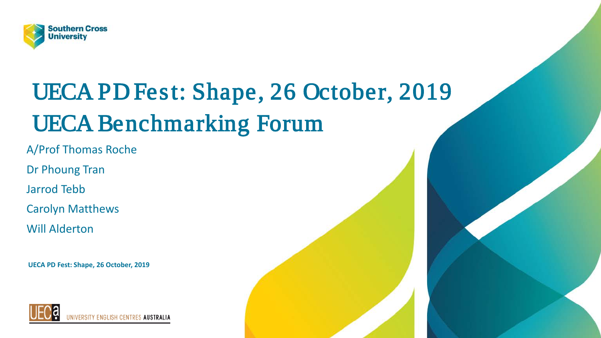

# UECA PD Fest: Shape, 26 October, 2019 UECA Benchmarking Forum

A/Prof Thomas Roche

Dr Phoung Tran

Jarrod Tebb

Carolyn Matthews

Will Alderton

**UECA PD Fest: Shape, 26 October, 2019**

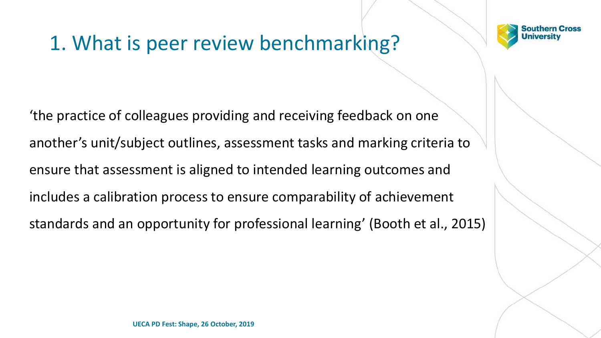## 1. What is peer review benchmarking?



'the practice of colleagues providing and receiving feedback on one another's unit/subject outlines, assessment tasks and marking criteria to ensure that assessment is aligned to intended learning outcomes and includes a calibration process to ensure comparability of achievement standards and an opportunity for professional learning' (Booth et al., 2015)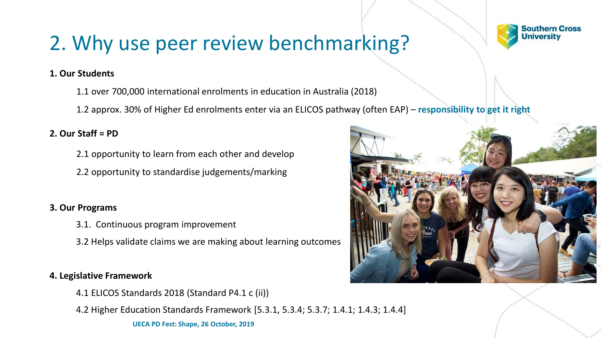## 2. Why use peer review benchmarking?



#### **1. Our Students**

- 1.1 over 700,000 international enrolments in education in Australia (2018)
- 1.2 approx. 30% of Higher Ed enrolments enter via an ELICOS pathway (often EAP) **responsibility to get it right**

#### **2. Our Staff = PD**

- 2.1 opportunity to learn from each other and develop
- 2.2 opportunity to standardise judgements/marking

#### **3. Our Programs**

- 3.1. Continuous program improvement
- 3.2 Helps validate claims we are making about learning outcomes

#### **4. Legislative Framework**

- 4.1 ELICOS Standards 2018 (Standard P4.1 c (ii))
- 4.2 Higher Education Standards Framework [5.3.1, 5.3.4; 5.3.7; 1.4.1; 1.4.3; 1.4.4]

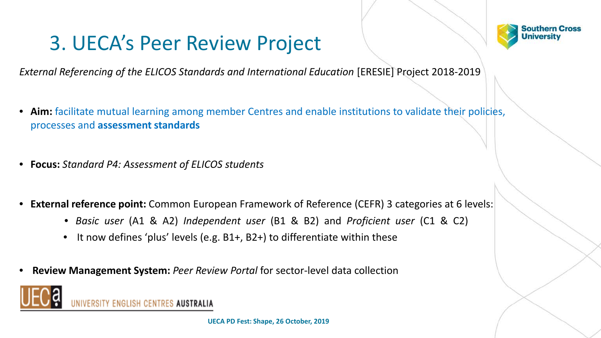### 3. UECA's Peer Review Project



*External Referencing of the ELICOS Standards and International Education* [ERESIE] Project 2018-2019

- **Aim:** facilitate mutual learning among member Centres and enable institutions to validate their policies, processes and **assessment standards**
- **Focus:** *Standard P4: Assessment of ELICOS students*
- **External reference point:** Common European Framework of Reference (CEFR) 3 categories at 6 levels:
	- *Basic user* (A1 & A2) *Independent user* (B1 & B2) and *Proficient user* (C1 & C2)
	- It now defines 'plus' levels (e.g. B1+, B2+) to differentiate within these
- **Review Management System:** *Peer Review Portal* for sector-level data collection



TY ENGLISH CENTRES **AUSTRALIA**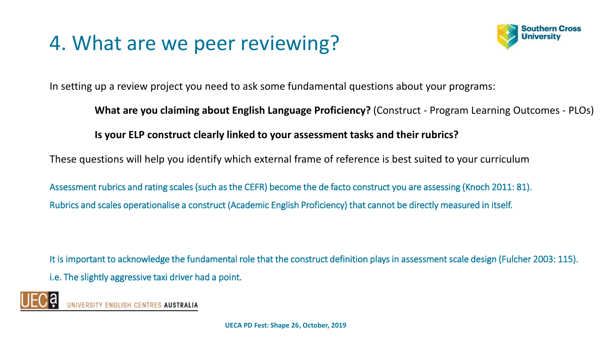## 4. What are we peer reviewing?



In setting up a review project you need to ask some fundamental questions about your programs:

**What are you claiming about English Language Proficiency?** (Construct - Program Learning Outcomes - PLOs)

**Is your ELP construct clearly linked to your assessment tasks and their rubrics?** 

These questions will help you identify which external frame of reference is best suited to your curriculum

Assessment rubrics and rating scales (such as the CEFR) become the de facto construct you are assessing (Knoch 2011: 81). Rubrics and scales operationalise a construct (Academic English Proficiency) that cannot be directly measured in itself.

It is important to acknowledge the fundamental role that the construct definition plays in assessment scale design (Fulcher 2003: 115). i.e. The slightly aggressive taxi driver had a point.

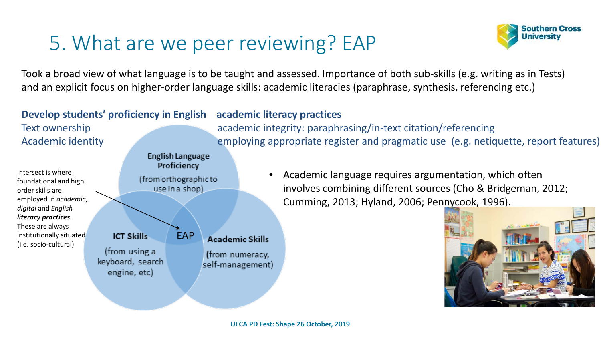## 5. What are we peer reviewing? EAP



Took a broad view of what language is to be taught and assessed. Importance of both sub-skills (e.g. writing as in Tests) and an explicit focus on higher-order language skills: academic literacies (paraphrase, synthesis, referencing etc.)

### **Develop students' proficiency in English academic literacy practices**



- Text ownership academic integrity: paraphrasing/in-text citation/referencing Academic identity employing appropriate register and pragmatic use (e.g. netiquette, report features)
	- Academic language requires argumentation, which often involves combining different sources (Cho & Bridgeman, 2012; Cumming, 2013; Hyland, 2006; Pennycook, 1996).

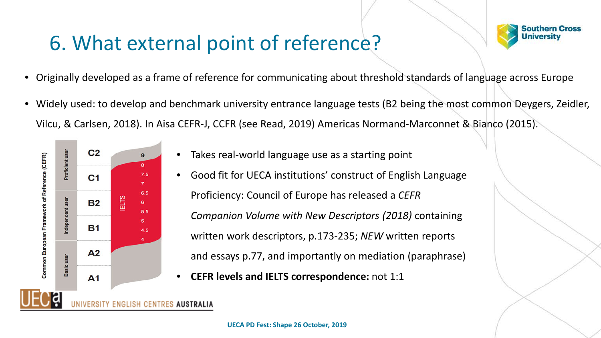## 6. What external point of reference?



- Originally developed as a frame of reference for communicating about threshold standards of language across Europe
- Widely used: to develop and benchmark university entrance language tests (B2 being the most common Deygers, Zeidler, Vilcu, & Carlsen, 2018). In Aisa CEFR-J, CCFR (see Read, 2019) Americas Normand-Marconnet & Bianco (2015).



- Takes real-world language use as a starting point
- Good fit for UECA institutions' construct of English Language Proficiency: Council of Europe has released a *CEFR Companion Volume with New Descriptors (2018)* containing written work descriptors, p.173-235; *NEW* written reports and essays p.77, and importantly on mediation (paraphrase)
- **CEFR levels and IELTS correspondence:** not 1:1

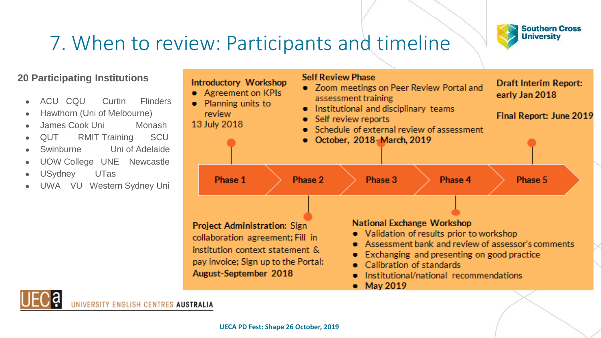

## 7. When to review: Participants and timeline

#### **20 Participating Institutions**

- ACU CQU Curtin Flinders
- Hawthorn (Uni of Melbourne)
- James Cook Uni Monash
- QUT RMIT Training SCU
- Swinburne Uni of Adelaide
- UOW College UNE Newcastle
- USydney UTas
- UWA VU Western Sydney Uni

| Introductory Workshop<br>• Agreement on KPIs<br>$\bullet$ Planning units to<br>review.<br>13 July 2018                                                                      |         | <b>Self Review Phase</b><br>• Zoom meetings on Peer Review Portal and<br>assessment training<br>• Institutional and disciplinary teams<br>• Self review reports<br>• Schedule of external review of assessment<br>$\bullet$ October, 2018-March, 2019 |                                                                                                                                                                                                                                                         | Draft Interim Report:<br>early Jan 2018<br>Final Report: June 2019 |  |
|-----------------------------------------------------------------------------------------------------------------------------------------------------------------------------|---------|-------------------------------------------------------------------------------------------------------------------------------------------------------------------------------------------------------------------------------------------------------|---------------------------------------------------------------------------------------------------------------------------------------------------------------------------------------------------------------------------------------------------------|--------------------------------------------------------------------|--|
| Phase 1                                                                                                                                                                     | Phase 2 | Phase 3                                                                                                                                                                                                                                               | Phase 4                                                                                                                                                                                                                                                 | Phase 5                                                            |  |
| <b>Project Administration: Sign.</b><br>collaboration agreement; Fill in<br>institution context statement &<br>pay invoice; Sign up to the Portal:<br>August-September 2018 |         | May 2019                                                                                                                                                                                                                                              | <b>National Exchange Workshop</b><br>• Validation of results prior to workshop<br>Assessment bank and review of assessor's comments<br>Exchanging and presenting on good practice<br>Calibration of standards<br>Institutional/national recommendations |                                                                    |  |
|                                                                                                                                                                             |         |                                                                                                                                                                                                                                                       |                                                                                                                                                                                                                                                         |                                                                    |  |



UNIVERSITY ENGLISH CENTRES AUSTRALIA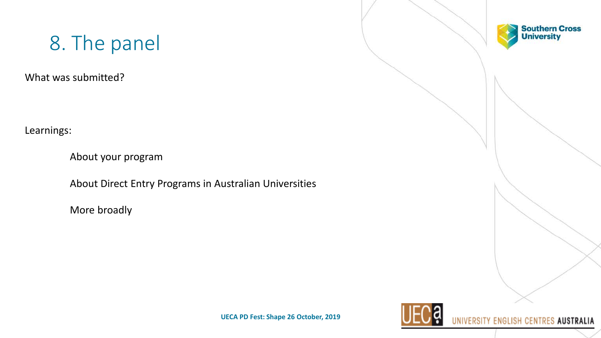### 8. The panel

What was submitted?

Learnings:

About your program

About Direct Entry Programs in Australian Universities

More broadly





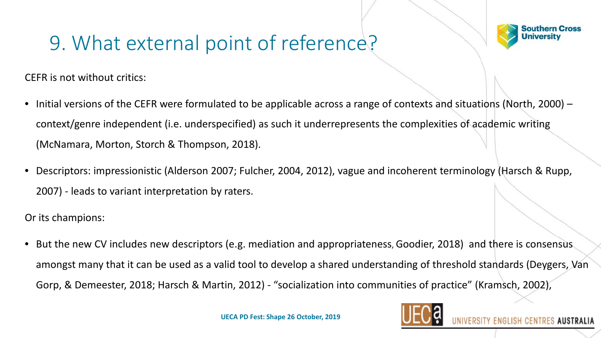## 9. What external point of reference?

**Southern Cross University** 

**ES AUSTRALIA** 

CEFR is not without critics:

- Initial versions of the CEFR were formulated to be applicable across a range of contexts and situations (North, 2000) context/genre independent (i.e. underspecified) as such it underrepresents the complexities of academic writing (McNamara, Morton, Storch & Thompson, 2018).
- Descriptors: impressionistic (Alderson 2007; Fulcher, 2004, 2012), vague and incoherent terminology (Harsch & Rupp, 2007) - leads to variant interpretation by raters.

Or its champions:

• But the new CV includes new descriptors (e.g. mediation and appropriateness, Goodier, 2018) and there is consensus amongst many that it can be used as a valid tool to develop a shared understanding of threshold standards (Deygers, Van Gorp, & Demeester, 2018; Harsch & Martin, 2012) - "socialization into communities of practice" (Kramsch, 2002),

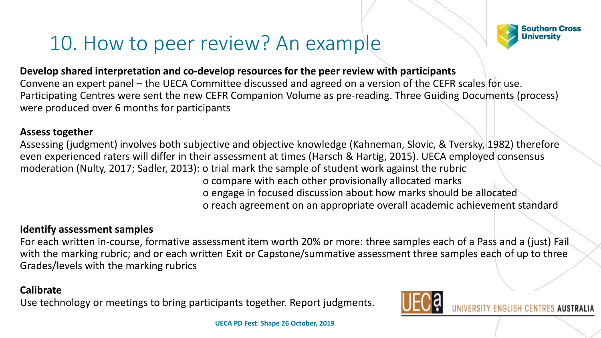

### 10. How to peer review? An example

#### **Develop shared interpretation and co-develop resources for the peer review with participants**

Convene an expert panel – the UECA Committee discussed and agreed on a version of the CEFR scales for use. Participating Centres were sent the new CEFR Companion Volume as pre-reading. Three Guiding Documents (process) were produced over 6 months for participants

#### **Assess together**

Assessing (judgment) involves both subjective and objective knowledge (Kahneman, Slovic, & Tversky, 1982) therefore even experienced raters will differ in their assessment at times (Harsch & Hartig, 2015). UECA employed consensus moderation (Nulty, 2017; Sadler, 2013): o trial mark the sample of student work against the rubric

o compare with each other provisionally allocated marks o engage in focused discussion about how marks should be allocated o reach agreement on an appropriate overall academic achievement standard

#### **Identify assessment samples**

For each written in-course, formative assessment item worth 20% or more: three samples each of a Pass and a (just) Fail with the marking rubric; and or each written Exit or Capstone/summative assessment three samples each of up to three Grades/levels with the marking rubrics

#### **Calibrate**

Use technology or meetings to bring participants together. Report judgments.

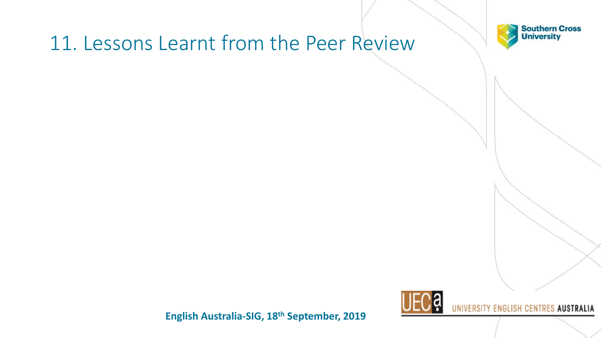### 11. Lessons Learnt from the Peer Review





**English Australia-SIG, 18th September, 2019**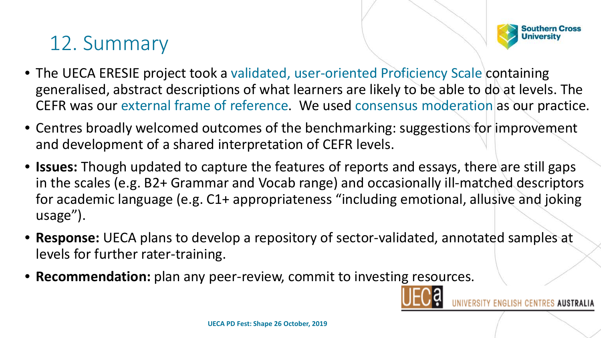#### **Southern Cross University**

### 12. Summary

- The UECA ERESIE project took a validated, user-oriented Proficiency Scale containing generalised, abstract descriptions of what learners are likely to be able to do at levels. The CEFR was our external frame of reference. We used consensus moderation as our practice.
- Centres broadly welcomed outcomes of the benchmarking: suggestions for improvement and development of a shared interpretation of CEFR levels.
- **Issues:** Though updated to capture the features of reports and essays, there are still gaps in the scales (e.g. B2+ Grammar and Vocab range) and occasionally ill-matched descriptors for academic language (e.g. C1+ appropriateness "including emotional, allusive and joking usage").
- **Response:** UECA plans to develop a repository of sector-validated, annotated samples at levels for further rater-training.
- **Recommendation:** plan any peer-review, commit to investing resources.

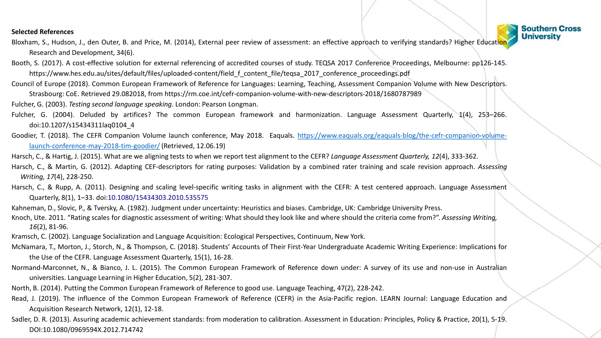#### **Selected References**

- Bloxham, S., Hudson, J., den Outer, B. and Price, M. (2014), External peer review of assessment: an effective approach to verifying standards? Higher Education Research and Development, 34(6).
- Booth, S. (2017). A cost-effective solution for external referencing of accredited courses of study. TEQSA 2017 Conference Proceedings, Melbourne: pp126-145. https://www.hes.edu.au/sites/default/files/uploaded-content/field f content file/teqsa\_2017\_conference\_proceedings.pdf
- Council of Europe (2018). Common European Framework of Reference for Languages: Learning, Teaching, Assessment Companion Volume with New Descriptors.
	- Strasbourg: CoE. Retrieved 29.082018, from https://rm.coe.int/cefr-companion-volume-with-new-descriptors-2018/1680787989
- Fulcher, G. (2003). *Testing second language speaking*. London: Pearson Longman.
- Fulcher, G. (2004). Deluded by artifices? The common European framework and harmonization. Language Assessment Quarterly, 1(4), 253–266. doi:10.1207/s15434311laq0104\_4
- Goodier, T. (2018). The CEFR Companion Volume launch conference, May 2018. Eaquals. [https://www.eaquals.org/eaquals-blog/the-cefr-companion-volume](https://www.eaquals.org/eaquals-blog/the-cefr-companion-volume-launch-conference-may-2018-tim-goodier/)launch-conference-may-2018-tim-goodier/ (Retrieved, 12.06.19)
- Harsch, C., & Hartig, J. (2015). What are we aligning tests to when we report test alignment to the CEFR? *Language Assessment Quarterly, 12*(4), 333-362.
- Harsch, C., & Martin, G. (2012). Adapting CEF-descriptors for rating purposes: Validation by a combined rater training and scale revision approach. *Assessing Writing, 17*(4), 228-250.
- Harsch, C., & Rupp, A. (2011). Designing and scaling level-specific writing tasks in alignment with the CEFR: A test centered approach. Language Assessment Quarterly, 8(1), 1–33. doi:10.1080/15434303.2010.535575
- Kahneman, D., Slovic, P., & Tversky, A. (1982). Judgment under uncertainty: Heuristics and biases. Cambridge, UK: Cambridge University Press.
- Knoch, Ute. 2011. "Rating scales for diagnostic assessment of writing: What should they look like and where should the criteria come from?". *Assessing Writing, 16*(2), 81-96.
- Kramsch, C. (2002). Language Socialization and Language Acquisition: Ecological Perspectives, Continuum, New York.
- McNamara, T., Morton, J., Storch, N., & Thompson, C. (2018). Students' Accounts of Their First-Year Undergraduate Academic Writing Experience: Implications for the Use of the CEFR. Language Assessment Quarterly, 15(1), 16-28.
- Normand-Marconnet, N., & Bianco, J. L. (2015). The Common European Framework of Reference down under: A survey of its use and non-use in Australian universities. Language Learning in Higher Education, 5(2), 281-307.
- North, B. (2014). Putting the Common European Framework of Reference to good use. Language Teaching, 47(2), 228-242.
- Read, J. (2019). The influence of the Common European Framework of Reference (CEFR) in the Asia-Pacific region. LEARN Journal: Language Education and Acquisition Research Network, 12(1), 12-18.
- Sadler, D. R. (2013). Assuring academic achievement standards: from moderation to calibration. Assessment in Education: Principles, Policy & Practice, 20(1), 5-19. DOI:10.1080/0969594X.2012.714742